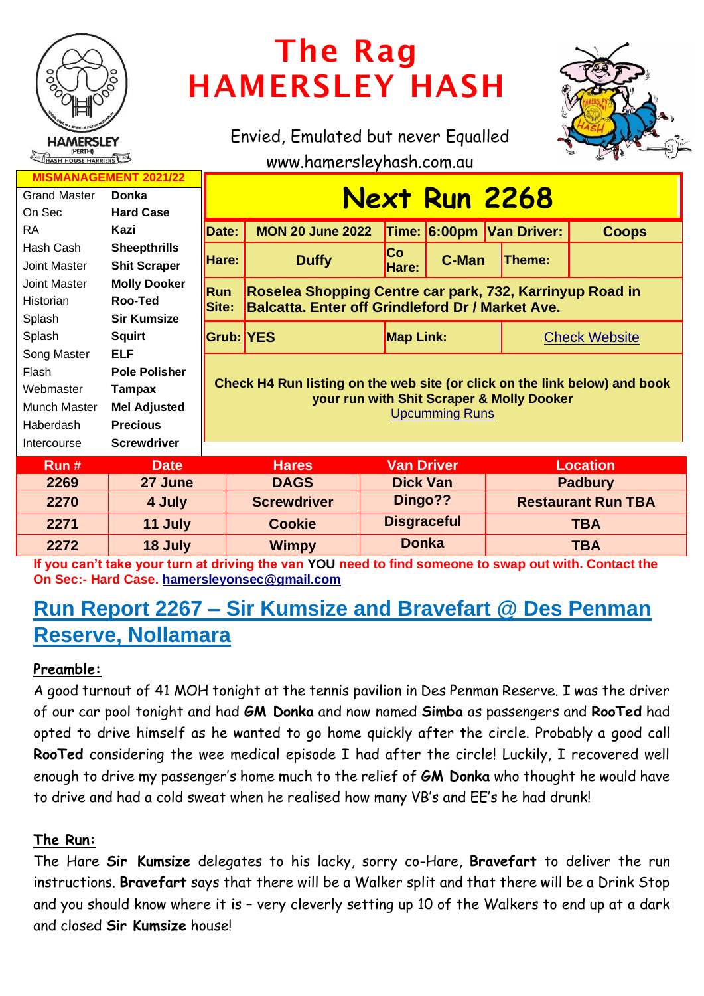

# The Rag HAMERSLEY HASH

Envied, Emulated but never Equalled



www.hamersleyhash.com.au

| <b>MISMANAGEMENT 2021/22</b> |                      |                                                                                                                                                  |                         |                                                          |                    |                           |                      |  |
|------------------------------|----------------------|--------------------------------------------------------------------------------------------------------------------------------------------------|-------------------------|----------------------------------------------------------|--------------------|---------------------------|----------------------|--|
| <b>Grand Master</b>          | Donka                | <b>Next Run 2268</b>                                                                                                                             |                         |                                                          |                    |                           |                      |  |
| On Sec                       | <b>Hard Case</b>     |                                                                                                                                                  |                         |                                                          |                    |                           |                      |  |
| <b>RA</b>                    | Kazi                 | Date:                                                                                                                                            | <b>MON 20 June 2022</b> |                                                          |                    | Time: 6:00pm Van Driver:  | <b>Coops</b>         |  |
| Hash Cash                    | <b>Sheepthrills</b>  | Hare:                                                                                                                                            |                         | <b>Co</b>                                                |                    |                           |                      |  |
| Joint Master                 | <b>Shit Scraper</b>  |                                                                                                                                                  | <b>Duffy</b>            | Hare:                                                    | C-Man              | Theme:                    |                      |  |
| Joint Master                 | <b>Molly Dooker</b>  | Run                                                                                                                                              |                         | Roselea Shopping Centre car park, 732, Karrinyup Road in |                    |                           |                      |  |
| Historian                    | Roo-Ted              | Site:<br><b>Balcatta. Enter off Grindleford Dr / Market Ave.</b>                                                                                 |                         |                                                          |                    |                           |                      |  |
| Splash                       | <b>Sir Kumsize</b>   |                                                                                                                                                  |                         |                                                          |                    |                           |                      |  |
| Splash                       | <b>Squirt</b>        | <b>Grub: YES</b>                                                                                                                                 |                         |                                                          | <b>Map Link:</b>   |                           | <b>Check Website</b> |  |
| Song Master                  | <b>ELF</b>           | Check H4 Run listing on the web site (or click on the link below) and book<br>your run with Shit Scraper & Molly Dooker<br><b>Upcumming Runs</b> |                         |                                                          |                    |                           |                      |  |
| Flash                        | <b>Pole Polisher</b> |                                                                                                                                                  |                         |                                                          |                    |                           |                      |  |
| Webmaster                    | Tampax               |                                                                                                                                                  |                         |                                                          |                    |                           |                      |  |
| Munch Master                 | <b>Mel Adjusted</b>  |                                                                                                                                                  |                         |                                                          |                    |                           |                      |  |
| Haberdash                    | <b>Precious</b>      |                                                                                                                                                  |                         |                                                          |                    |                           |                      |  |
| Intercourse                  | <b>Screwdriver</b>   |                                                                                                                                                  |                         |                                                          |                    |                           |                      |  |
| Run#                         | <b>Date</b>          |                                                                                                                                                  | <b>Hares</b>            |                                                          | <b>Van Driver</b>  |                           | <b>Location</b>      |  |
| 2269                         | 27 June              |                                                                                                                                                  | <b>DAGS</b>             |                                                          | <b>Dick Van</b>    |                           | <b>Padbury</b>       |  |
| 2270                         | 4 July               |                                                                                                                                                  | <b>Screwdriver</b>      |                                                          | Dingo??            | <b>Restaurant Run TBA</b> |                      |  |
| 2271                         | 11 July              |                                                                                                                                                  | <b>Cookie</b>           |                                                          | <b>Disgraceful</b> | <b>TBA</b>                |                      |  |
| 2272                         | 18 July              |                                                                                                                                                  | <b>Wimpy</b>            |                                                          | <b>Donka</b>       | <b>TBA</b>                |                      |  |

**If you can't take your turn at driving the van YOU need to find someone to swap out with. Contact the On Sec:- Hard Case. [hamersleyonsec@gmail.com](mailto:hamersleyonsec@gmail.com)**

## **Run Report 2267 – Sir Kumsize and Bravefart @ Des Penman Reserve, Nollamara**

### **Preamble:**

A good turnout of 41 MOH tonight at the tennis pavilion in Des Penman Reserve. I was the driver of our car pool tonight and had **GM Donka** and now named **Simba** as passengers and **RooTed** had opted to drive himself as he wanted to go home quickly after the circle. Probably a good call **RooTed** considering the wee medical episode I had after the circle! Luckily, I recovered well enough to drive my passenger's home much to the relief of **GM Donka** who thought he would have to drive and had a cold sweat when he realised how many VB's and EE's he had drunk!

#### **The Run:**

The Hare **Sir Kumsize** delegates to his lacky, sorry co-Hare, **Bravefart** to deliver the run instructions. **Bravefart** says that there will be a Walker split and that there will be a Drink Stop and you should know where it is – very cleverly setting up 10 of the Walkers to end up at a dark and closed **Sir Kumsize** house!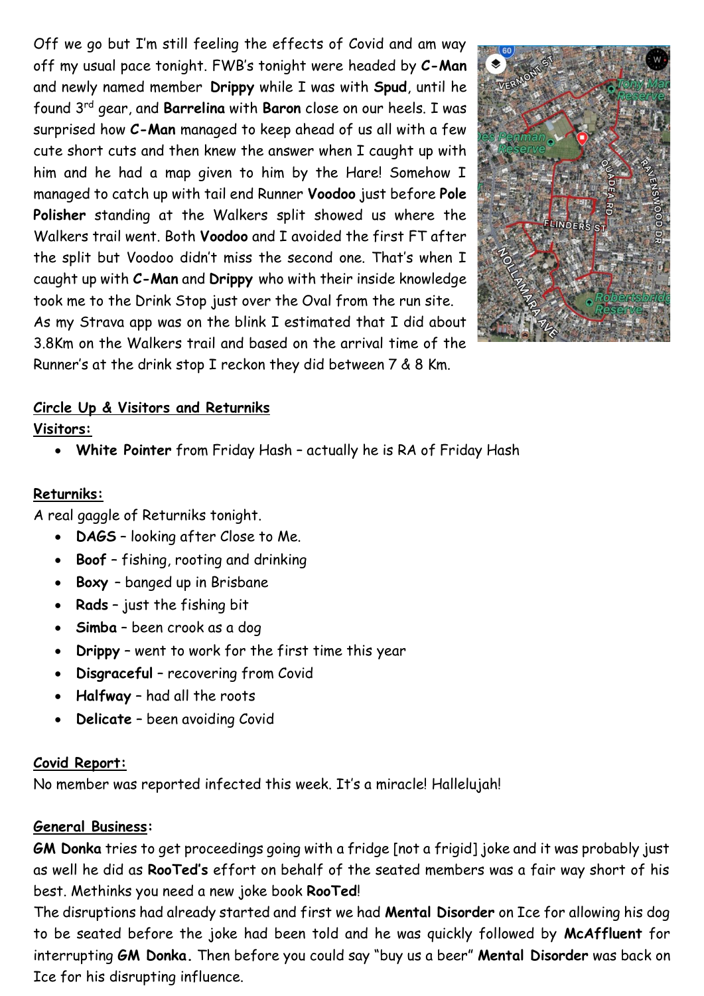Off we go but I'm still feeling the effects of Covid and am way off my usual pace tonight. FWB's tonight were headed by **C-Man** and newly named member **Drippy** while I was with **Spud**, until he found 3rd gear, and **Barrelina** with **Baron** close on our heels. I was surprised how **C-Man** managed to keep ahead of us all with a few cute short cuts and then knew the answer when I caught up with him and he had a map given to him by the Hare! Somehow I managed to catch up with tail end Runner **Voodoo** just before **Pole Polisher** standing at the Walkers split showed us where the Walkers trail went. Both **Voodoo** and I avoided the first FT after the split but Voodoo didn't miss the second one. That's when I caught up with **C-Man** and **Drippy** who with their inside knowledge took me to the Drink Stop just over the Oval from the run site. As my Strava app was on the blink I estimated that I did about 3.8Km on the Walkers trail and based on the arrival time of the Runner's at the drink stop I reckon they did between 7 & 8 Km.



#### **Circle Up & Visitors and Returniks**

#### **Visitors:**

• **White Pointer** from Friday Hash – actually he is RA of Friday Hash

#### **Returniks:**

A real gaggle of Returniks tonight.

- **DAGS** looking after Close to Me.
- **Boof** fishing, rooting and drinking
- **Boxy**  banged up in Brisbane
- **Rads** just the fishing bit
- **Simba** been crook as a dog
- **Drippy** went to work for the first time this year
- **Disgraceful** recovering from Covid
- **Halfway** had all the roots
- **Delicate** been avoiding Covid

#### **Covid Report:**

No member was reported infected this week. It's a miracle! Hallelujah!

#### **General Business:**

**GM Donka** tries to get proceedings going with a fridge [not a frigid] joke and it was probably just as well he did as **RooTed's** effort on behalf of the seated members was a fair way short of his best. Methinks you need a new joke book **RooTed**!

The disruptions had already started and first we had **Mental Disorder** on Ice for allowing his dog to be seated before the joke had been told and he was quickly followed by **McAffluent** for interrupting **GM Donka.** Then before you could say "buy us a beer" **Mental Disorder** was back on Ice for his disrupting influence.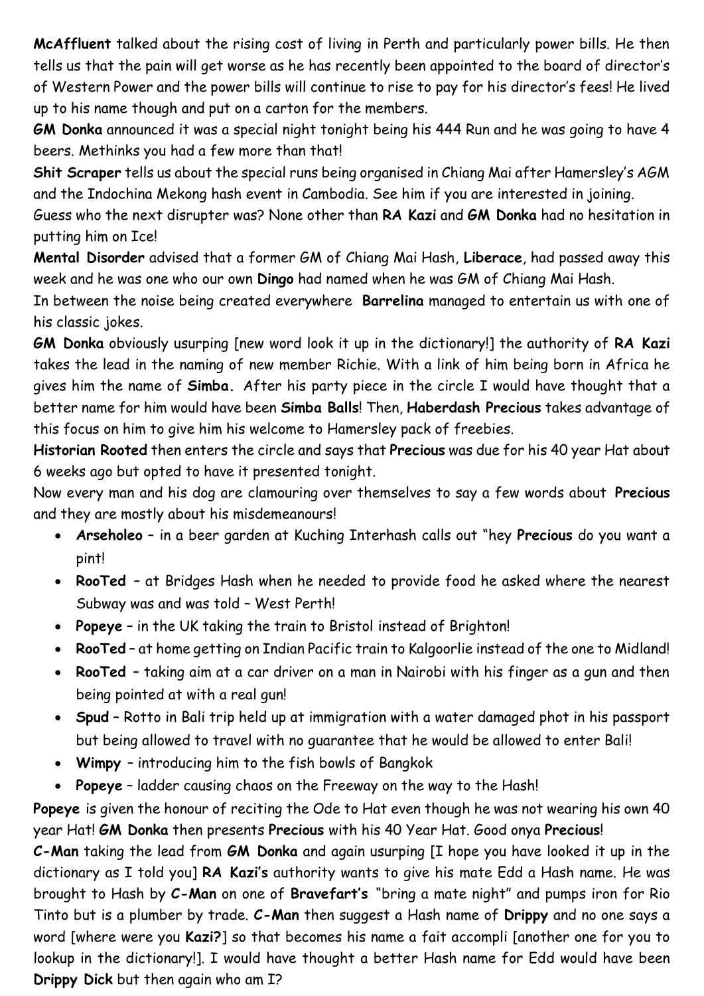**McAffluent** talked about the rising cost of living in Perth and particularly power bills. He then tells us that the pain will get worse as he has recently been appointed to the board of director's of Western Power and the power bills will continue to rise to pay for his director's fees! He lived up to his name though and put on a carton for the members.

**GM Donka** announced it was a special night tonight being his 444 Run and he was going to have 4 beers. Methinks you had a few more than that!

**Shit Scraper** tells us about the special runs being organised in Chiang Mai after Hamersley's AGM and the Indochina Mekong hash event in Cambodia. See him if you are interested in joining.

Guess who the next disrupter was? None other than **RA Kazi** and **GM Donka** had no hesitation in putting him on Ice!

**Mental Disorder** advised that a former GM of Chiang Mai Hash, **Liberace**, had passed away this week and he was one who our own **Dingo** had named when he was GM of Chiang Mai Hash.

In between the noise being created everywhere **Barrelina** managed to entertain us with one of his classic jokes.

**GM Donka** obviously usurping [new word look it up in the dictionary!] the authority of **RA Kazi** takes the lead in the naming of new member Richie. With a link of him being born in Africa he gives him the name of **Simba.** After his party piece in the circle I would have thought that a better name for him would have been **Simba Balls**! Then, **Haberdash Precious** takes advantage of this focus on him to give him his welcome to Hamersley pack of freebies.

**Historian Rooted** then enters the circle and says that **Precious** was due for his 40 year Hat about 6 weeks ago but opted to have it presented tonight.

Now every man and his dog are clamouring over themselves to say a few words about **Precious** and they are mostly about his misdemeanours!

- **Arseholeo** in a beer garden at Kuching Interhash calls out "hey **Precious** do you want a pint!
- **RooTed**  at Bridges Hash when he needed to provide food he asked where the nearest Subway was and was told – West Perth!
- **Popeye** in the UK taking the train to Bristol instead of Brighton!
- **RooTed** at home getting on Indian Pacific train to Kalgoorlie instead of the one to Midland!
- **RooTed**  taking aim at a car driver on a man in Nairobi with his finger as a gun and then being pointed at with a real gun!
- **Spud** Rotto in Bali trip held up at immigration with a water damaged phot in his passport but being allowed to travel with no guarantee that he would be allowed to enter Bali!
- **Wimpy**  introducing him to the fish bowls of Bangkok
- **Popeye** ladder causing chaos on the Freeway on the way to the Hash!

**Popeye** is given the honour of reciting the Ode to Hat even though he was not wearing his own 40 year Hat! **GM Donka** then presents **Precious** with his 40 Year Hat. Good onya **Precious**!

**C-Man** taking the lead from **GM Donka** and again usurping [I hope you have looked it up in the dictionary as I told you] **RA Kazi's** authority wants to give his mate Edd a Hash name. He was brought to Hash by **C-Man** on one of **Bravefart's** "bring a mate night" and pumps iron for Rio Tinto but is a plumber by trade. **C-Man** then suggest a Hash name of **Drippy** and no one says a word [where were you **Kazi?**] so that becomes his name a fait accompli [another one for you to lookup in the dictionary!]. I would have thought a better Hash name for Edd would have been **Drippy Dick** but then again who am I?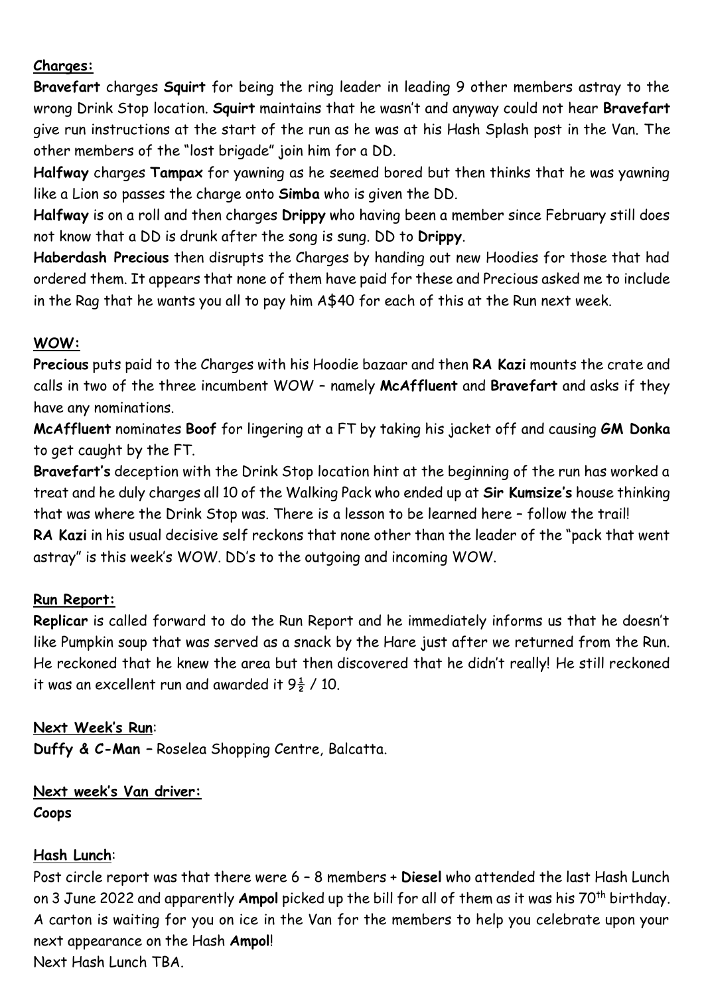#### **Charges:**

**Bravefart** charges **Squirt** for being the ring leader in leading 9 other members astray to the wrong Drink Stop location. **Squirt** maintains that he wasn't and anyway could not hear **Bravefart** give run instructions at the start of the run as he was at his Hash Splash post in the Van. The other members of the "lost brigade" join him for a DD.

**Halfway** charges **Tampax** for yawning as he seemed bored but then thinks that he was yawning like a Lion so passes the charge onto **Simba** who is given the DD.

**Halfway** is on a roll and then charges **Drippy** who having been a member since February still does not know that a DD is drunk after the song is sung. DD to **Drippy**.

**Haberdash Precious** then disrupts the Charges by handing out new Hoodies for those that had ordered them. It appears that none of them have paid for these and Precious asked me to include in the Rag that he wants you all to pay him A\$40 for each of this at the Run next week.

#### **WOW:**

**Precious** puts paid to the Charges with his Hoodie bazaar and then **RA Kazi** mounts the crate and calls in two of the three incumbent WOW – namely **McAffluent** and **Bravefart** and asks if they have any nominations.

**McAffluent** nominates **Boof** for lingering at a FT by taking his jacket off and causing **GM Donka** to get caught by the FT.

**Bravefart's** deception with the Drink Stop location hint at the beginning of the run has worked a treat and he duly charges all 10 of the Walking Pack who ended up at **Sir Kumsize's** house thinking that was where the Drink Stop was. There is a lesson to be learned here – follow the trail!

**RA Kazi** in his usual decisive self reckons that none other than the leader of the "pack that went astray" is this week's WOW. DD's to the outgoing and incoming WOW.

#### **Run Report:**

**Replicar** is called forward to do the Run Report and he immediately informs us that he doesn't like Pumpkin soup that was served as a snack by the Hare just after we returned from the Run. He reckoned that he knew the area but then discovered that he didn't really! He still reckoned it was an excellent run and awarded it  $9\frac{1}{2}$  / 10.

#### **Next Week's Run**:

**Duffy & C-Man –** Roselea Shopping Centre, Balcatta.

#### **Next week's Van driver: Coops**

#### **Hash Lunch**:

Post circle report was that there were 6 – 8 members + **Diesel** who attended the last Hash Lunch on 3 June 2022 and apparently **Ampol** picked up the bill for all of them as it was his 70th birthday. A carton is waiting for you on ice in the Van for the members to help you celebrate upon your next appearance on the Hash **Ampol**! Next Hash Lunch TBA.